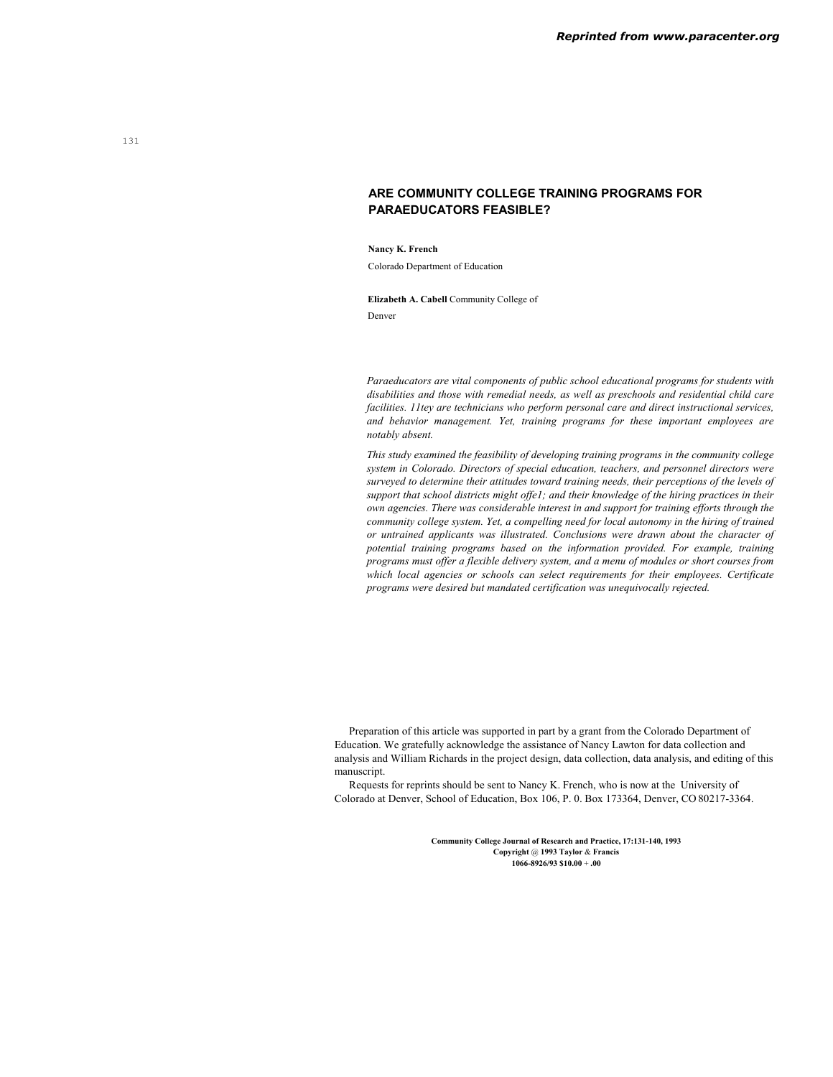# **ARE COMMUNITY COLLEGE TRAINING PROGRAMS FOR PARAEDUCATORS FEASIBLE?**

**Nancy K. French**  Colorado Department of Education

**Elizabeth A. Cabell** Community College of Denver

*Paraeducators are vital components of public school educational programs for students with disabilities and those with remedial needs, as well as preschools and residential child care facilities. 11tey are technicians who perform personal care and direct instructional services, and behavior management. Yet, training programs for these important employees are notably absent.* 

*This study examined the feasibility of developing training programs in the community college system in Colorado. Directors of special education, teachers, and personnel directors were surveyed to determine their attitudes toward training needs, their perceptions of the levels of support that school districts might offe1; and their knowledge of the hiring practices in their own agencies. There was considerable interest in and support for training efforts through the community college system. Yet, a compelling need for local autonomy in the hiring of trained or untrained applicants was illustrated. Conclusions were drawn about the character of potential training programs based on the information provided. For example, training programs must offer a flexible delivery system, and a menu of modules or short courses from which local agencies or schools can select requirements for their employees. Certificate programs were desired but mandated certification was unequivocally rejected.* 

Preparation of this article was supported in part by a grant from the Colorado Department of Education. We gratefully acknowledge the assistance of Nancy Lawton for data collection and analysis and William Richards in the project design, data collection, data analysis, and editing of this manuscript.

Requests for reprints should be sent to Nancy K. French, who is now at the University of Colorado at Denver, School of Education, Box 106, P. 0. Box 173364, Denver, CO 80217-3364.

> **Community College Journal of Research and Practice, 17:131-140, 1993 Copyright** @ **1993 Taylor** & **Francis 1066-8926/93 \$10.00** + **.00**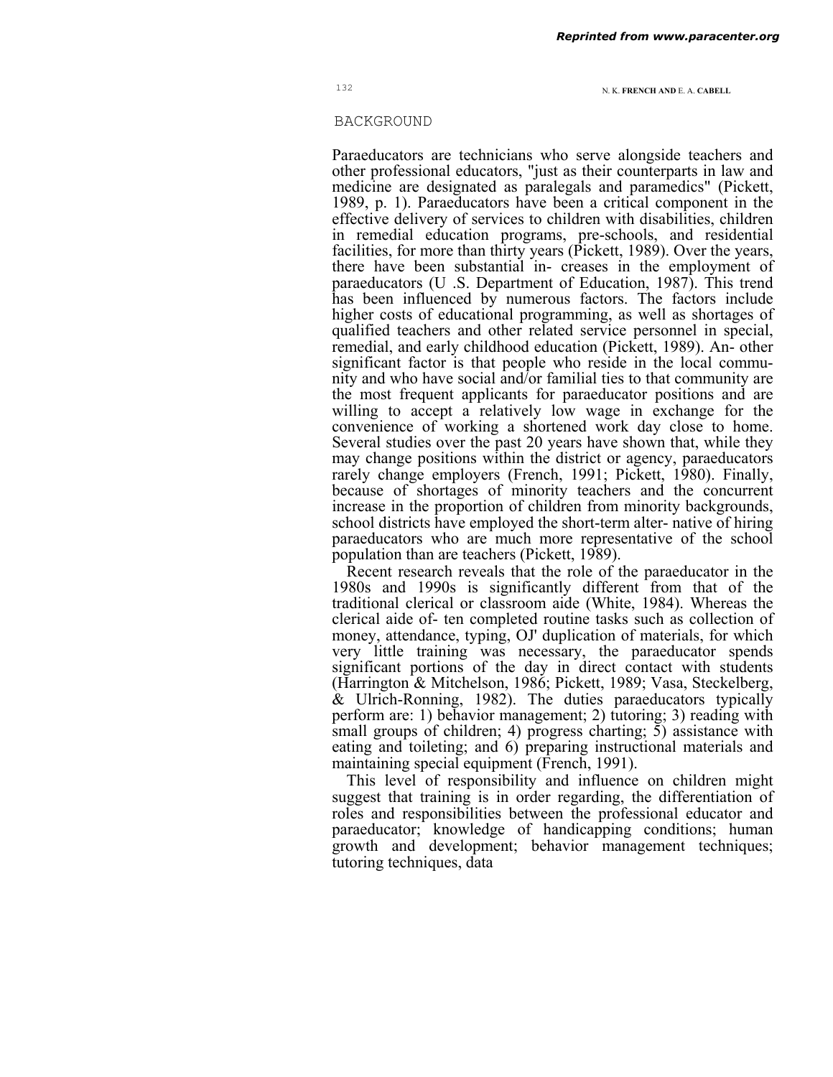#### BACKGROUND

Paraeducators are technicians who serve alongside teachers and other professional educators, "just as their counterparts in law and medicine are designated as paralegals and paramedics" (Pickett, 1989, p. 1). Paraeducators have been a critical component in the effective delivery of services to children with disabilities, children in remedial education programs, pre-schools, and residential facilities, for more than thirty years (Pickett, 1989). Over the years, there have been substantial in- creases in the employment of paraeducators (U .S. Department of Education, 1987). This trend has been influenced by numerous factors. The factors include higher costs of educational programming, as well as shortages of qualified teachers and other related service personnel in special, remedial, and early childhood education (Pickett, 1989). An- other significant factor is that people who reside in the local community and who have social and/or familial ties to that community are the most frequent applicants for paraeducator positions and are willing to accept a relatively low wage in exchange for the convenience of working a shortened work day close to home. Several studies over the past 20 years have shown that, while they may change positions within the district or agency, paraeducators rarely change employers (French, 1991; Pickett, 1980). Finally, because of shortages of minority teachers and the concurrent increase in the proportion of children from minority backgrounds, school districts have employed the short-term alter- native of hiring paraeducators who are much more representative of the school population than are teachers (Pickett, 1989).

Recent research reveals that the role of the paraeducator in the 1980s and 1990s is significantly different from that of the traditional clerical or classroom aide (White, 1984). Whereas the clerical aide of- ten completed routine tasks such as collection of money, attendance, typing, OJ' duplication of materials, for which very little training was necessary, the paraeducator spends significant portions of the day in direct contact with students (Harrington & Mitchelson, 1986; Pickett, 1989; Vasa, Steckelberg, & Ulrich-Ronning, 1982). The duties paraeducators typically perform are: 1) behavior management; 2) tutoring; 3) reading with small groups of children; 4) progress charting; 5) assistance with eating and toileting; and 6) preparing instructional materials and maintaining special equipment (French, 1991).

This level of responsibility and influence on children might suggest that training is in order regarding, the differentiation of roles and responsibilities between the professional educator and paraeducator; knowledge of handicapping conditions; human growth and development; behavior management techniques; tutoring techniques, data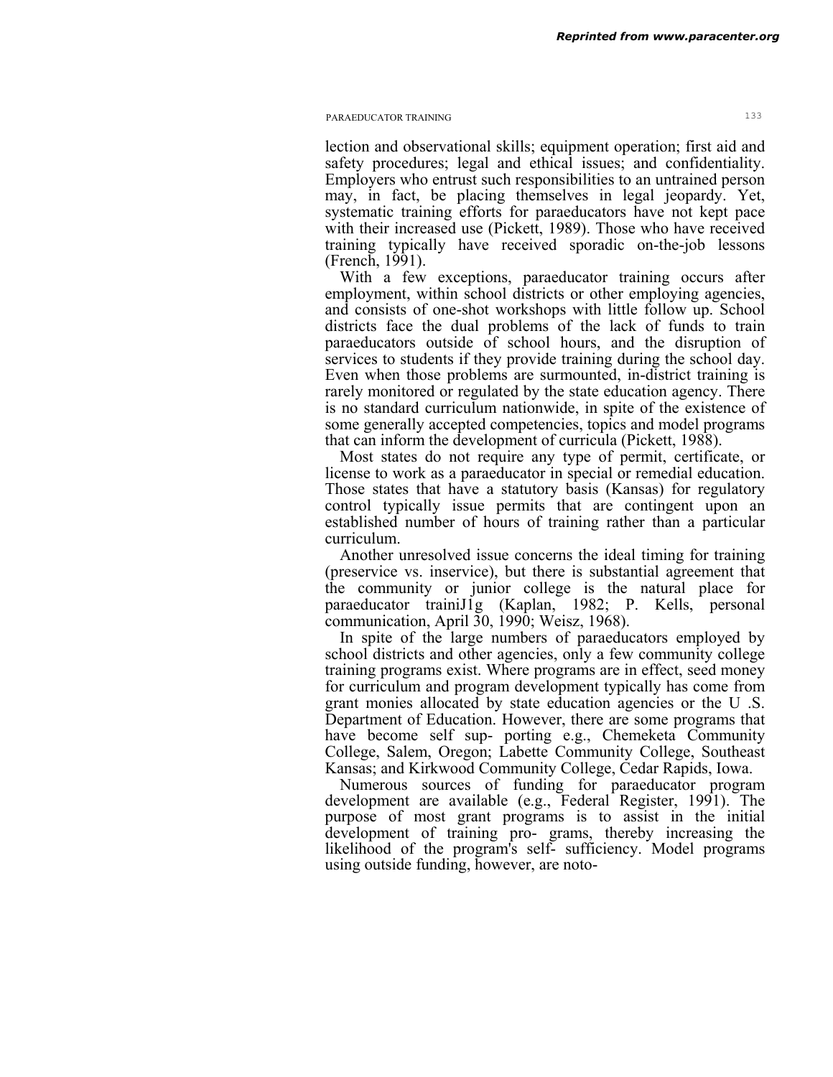lection and observational skills; equipment operation; first aid and safety procedures; legal and ethical issues; and confidentiality. Employers who entrust such responsibilities to an untrained person may, in fact, be placing themselves in legal jeopardy. Yet, systematic training efforts for paraeducators have not kept pace with their increased use (Pickett, 1989). Those who have received training typically have received sporadic on-the-job lessons (French, 1991).

With a few exceptions, paraeducator training occurs after employment, within school districts or other employing agencies, and consists of one-shot workshops with little follow up. School districts face the dual problems of the lack of funds to train paraeducators outside of school hours, and the disruption of services to students if they provide training during the school day. Even when those problems are surmounted, in-district training is rarely monitored or regulated by the state education agency. There is no standard curriculum nationwide, in spite of the existence of some generally accepted competencies, topics and model programs that can inform the development of curricula (Pickett, 1988).

Most states do not require any type of permit, certificate, or license to work as a paraeducator in special or remedial education. Those states that have a statutory basis (Kansas) for regulatory control typically issue permits that are contingent upon an established number of hours of training rather than a particular curriculum.

Another unresolved issue concerns the ideal timing for training (preservice vs. inservice), but there is substantial agreement that the community or junior college is the natural place for paraeducator trainiJ1g (Kaplan, 1982; P. Kells, personal communication, April 30, 1990; Weisz, 1968).

In spite of the large numbers of paraeducators employed by school districts and other agencies, only a few community college training programs exist. Where programs are in effect, seed money for curriculum and program development typically has come from grant monies allocated by state education agencies or the U .S. Department of Education. However, there are some programs that have become self sup- porting e.g., Chemeketa Community College, Salem, Oregon; Labette Community College, Southeast Kansas; and Kirkwood Community College, Cedar Rapids, Iowa.

Numerous sources of funding for paraeducator program development are available (e.g., Federal Register, 1991). The purpose of most grant programs is to assist in the initial development of training pro- grams, thereby increasing the likelihood of the program's self- sufficiency. Model programs using outside funding, however, are noto-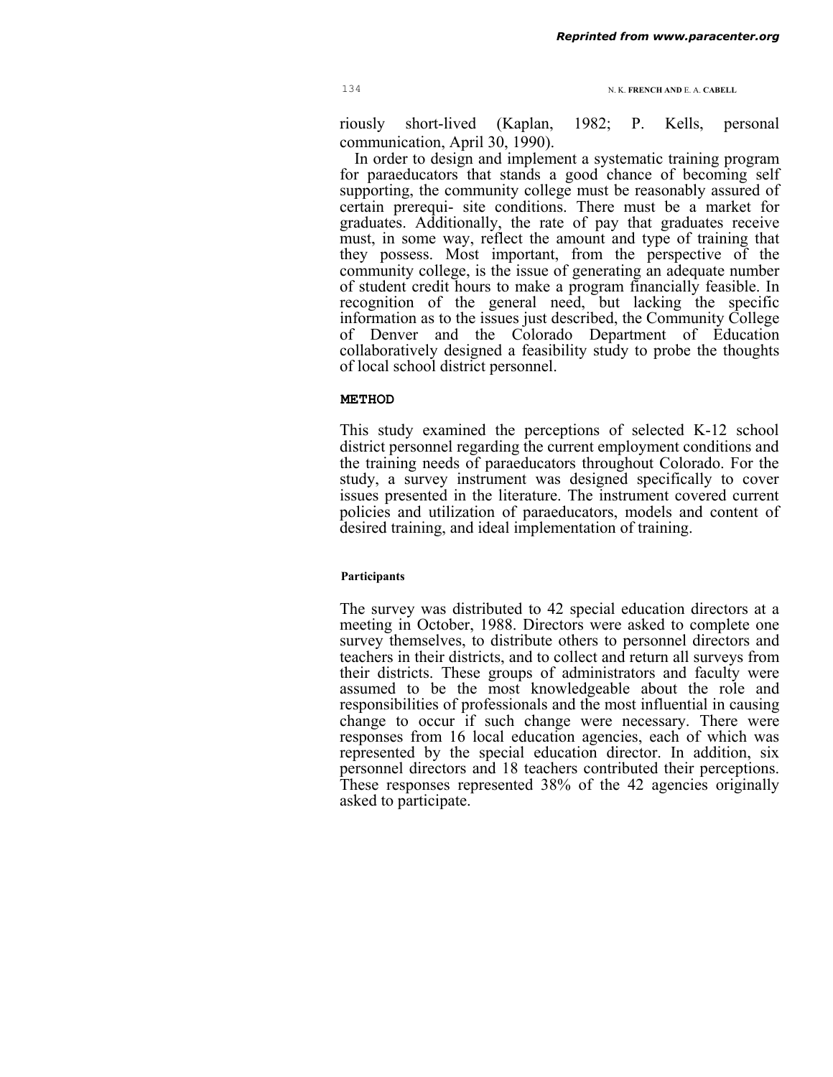riously short-lived (Kaplan, 1982; P. Kells, personal communication, April 30, 1990).

In order to design and implement a systematic training program for paraeducators that stands a good chance of becoming self supporting, the community college must be reasonably assured of certain prerequi- site conditions. There must be a market for graduates. Additionally, the rate of pay that graduates receive must, in some way, reflect the amount and type of training that they possess. Most important, from the perspective of the community college, is the issue of generating an adequate number of student credit hours to make a program financially feasible. In recognition of the general need, but lacking the specific information as to the issues just described, the Community College of Denver and the Colorado Department of Education collaboratively designed a feasibility study to probe the thoughts of local school district personnel.

#### **METHOD**

This study examined the perceptions of selected K-12 school district personnel regarding the current employment conditions and the training needs of paraeducators throughout Colorado. For the study, a survey instrument was designed specifically to cover issues presented in the literature. The instrument covered current policies and utilization of paraeducators, models and content of desired training, and ideal implementation of training.

#### **Participants**

The survey was distributed to 42 special education directors at a meeting in October, 1988. Directors were asked to complete one survey themselves, to distribute others to personnel directors and teachers in their districts, and to collect and return all surveys from their districts. These groups of administrators and faculty were assumed to be the most knowledgeable about the role and responsibilities of professionals and the most influential in causing change to occur if such change were necessary. There were responses from 16 local education agencies, each of which was represented by the special education director. In addition, six personnel directors and 18 teachers contributed their perceptions. These responses represented 38% of the 42 agencies originally asked to participate.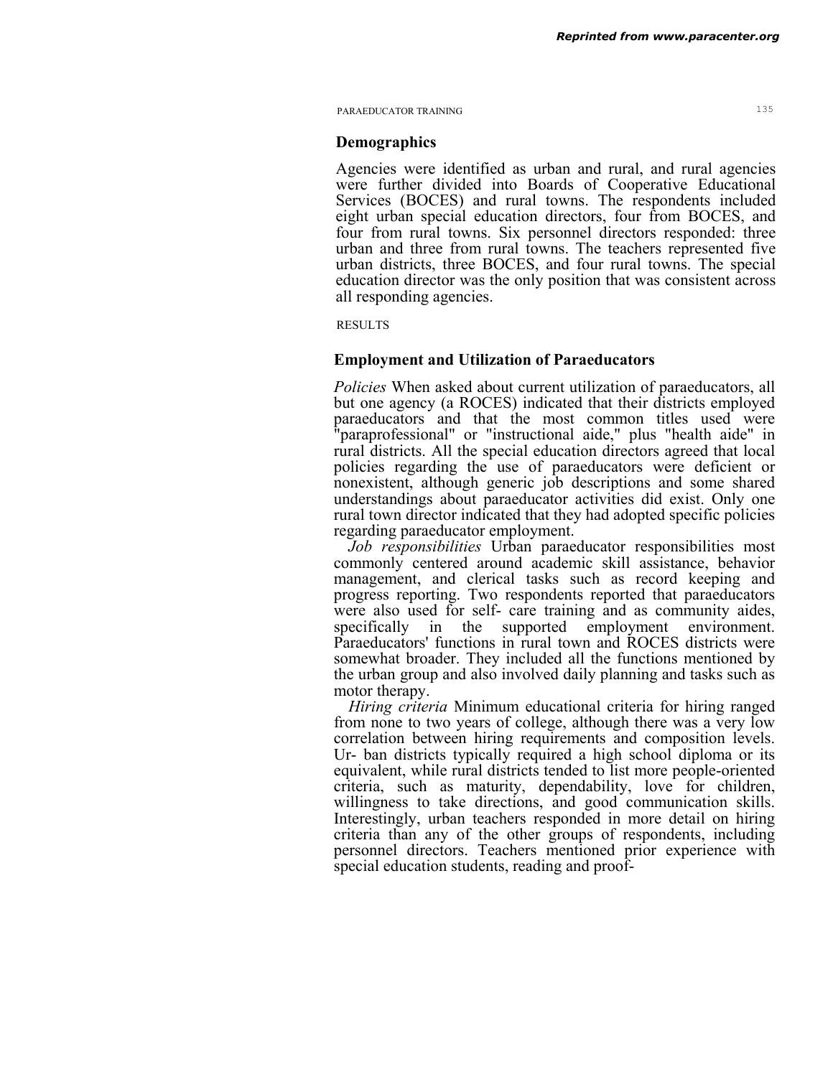# **Demographics**

Agencies were identified as urban and rural, and rural agencies were further divided into Boards of Cooperative Educational Services (BOCES) and rural towns. The respondents included eight urban special education directors, four from BOCES, and four from rural towns. Six personnel directors responded: three urban and three from rural towns. The teachers represented five urban districts, three BOCES, and four rural towns. The special education director was the only position that was consistent across all responding agencies.

RESULTS

### **Employment and Utilization of Paraeducators**

*Policies* When asked about current utilization of paraeducators, all but one agency (a ROCES) indicated that their districts employed paraeducators and that the most common titles used were "paraprofessional" or "instructional aide," plus "health aide" in rural districts. All the special education directors agreed that local policies regarding the use of paraeducators were deficient or nonexistent, although generic job descriptions and some shared understandings about paraeducator activities did exist. Only one rural town director indicated that they had adopted specific policies regarding paraeducator employment.

*Job responsibilities* Urban paraeducator responsibilities most commonly centered around academic skill assistance, behavior management, and clerical tasks such as record keeping and progress reporting. Two respondents reported that paraeducators were also used for self- care training and as community aides, specifically in the supported employment environment. Paraeducators' functions in rural town and ROCES districts were somewhat broader. They included all the functions mentioned by the urban group and also involved daily planning and tasks such as motor therapy.

*Hiring criteria* Minimum educational criteria for hiring ranged from none to two years of college, although there was a very low correlation between hiring requirements and composition levels. Ur- ban districts typically required a high school diploma or its equivalent, while rural districts tended to list more people-oriented criteria, such as maturity, dependability, love for children, willingness to take directions, and good communication skills. Interestingly, urban teachers responded in more detail on hiring criteria than any of the other groups of respondents, including personnel directors. Teachers mentioned prior experience with special education students, reading and proof-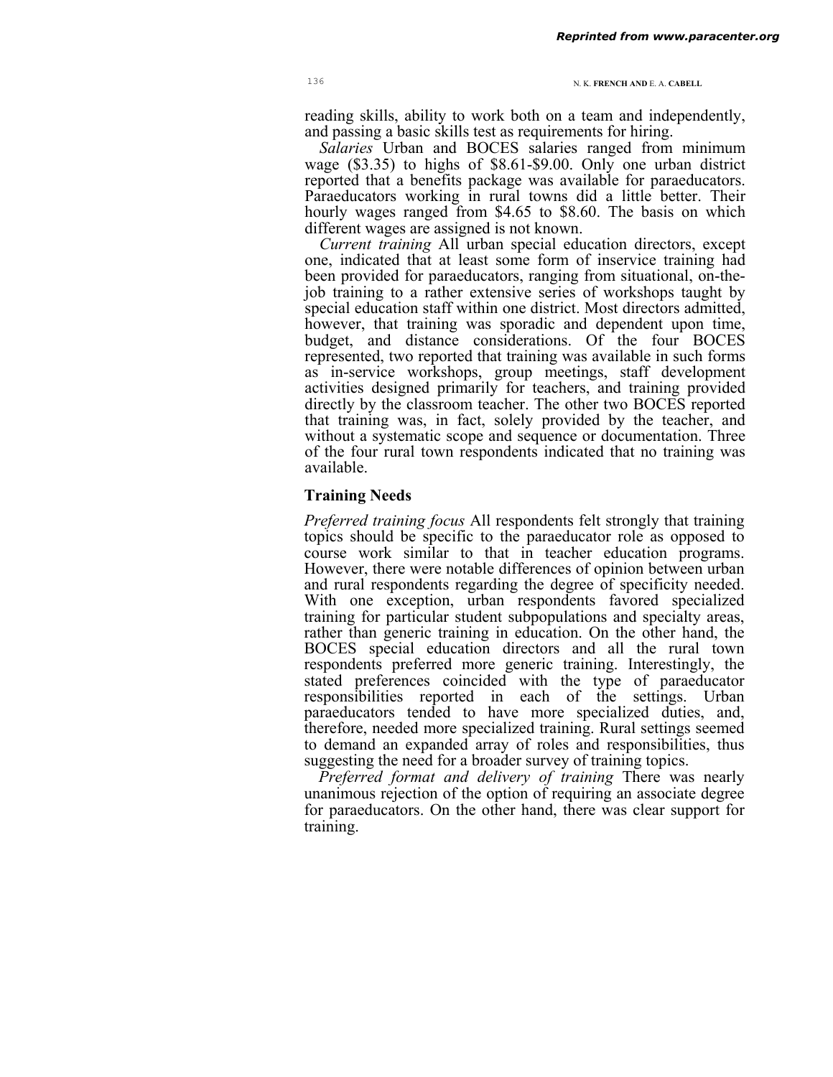reading skills, ability to work both on a team and independently, and passing a basic skills test as requirements for hiring.

*Salaries* Urban and BOCES salaries ranged from minimum wage (\$3.35) to highs of \$8.61-\$9.00. Only one urban district reported that a benefits package was available for paraeducators. Paraeducators working in rural towns did a little better. Their hourly wages ranged from \$4.65 to \$8.60. The basis on which different wages are assigned is not known.

*Current training* All urban special education directors, except one, indicated that at least some form of inservice training had been provided for paraeducators, ranging from situational, on-thejob training to a rather extensive series of workshops taught by special education staff within one district. Most directors admitted, however, that training was sporadic and dependent upon time, budget, and distance considerations. Of the four BOCES represented, two reported that training was available in such forms as in-service workshops, group meetings, staff development activities designed primarily for teachers, and training provided directly by the classroom teacher. The other two BOCES reported that training was, in fact, solely provided by the teacher, and without a systematic scope and sequence or documentation. Three of the four rural town respondents indicated that no training was available.

### **Training Needs**

*Preferred training focus* All respondents felt strongly that training topics should be specific to the paraeducator role as opposed to course work similar to that in teacher education programs. However, there were notable differences of opinion between urban and rural respondents regarding the degree of specificity needed. With one exception, urban respondents favored specialized training for particular student subpopulations and specialty areas, rather than generic training in education. On the other hand, the BOCES special education directors and all the rural town respondents preferred more generic training. Interestingly, the stated preferences coincided with the type of paraeducator responsibilities reported in each of the settings. Urban paraeducators tended to have more specialized duties, and, therefore, needed more specialized training. Rural settings seemed to demand an expanded array of roles and responsibilities, thus suggesting the need for a broader survey of training topics.

*Preferred format and delivery of training* There was nearly unanimous rejection of the option of requiring an associate degree for paraeducators. On the other hand, there was clear support for training.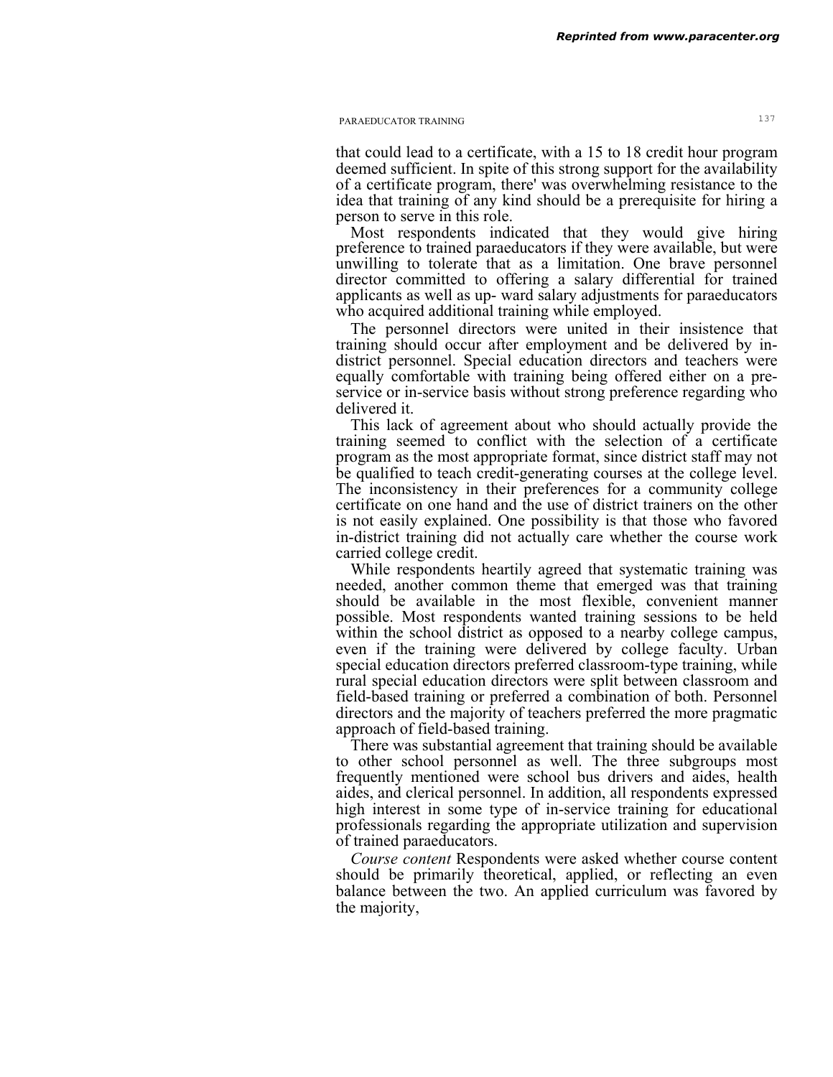that could lead to a certificate, with a 15 to 18 credit hour program deemed sufficient. In spite of this strong support for the availability of a certificate program, there' was overwhelming resistance to the idea that training of any kind should be a prerequisite for hiring a person to serve in this role.

Most respondents indicated that they would give hiring preference to trained paraeducators if they were available, but were unwilling to tolerate that as a limitation. One brave personnel director committed to offering a salary differential for trained applicants as well as up- ward salary adjustments for paraeducators who acquired additional training while employed.

The personnel directors were united in their insistence that training should occur after employment and be delivered by indistrict personnel. Special education directors and teachers were equally comfortable with training being offered either on a preservice or in-service basis without strong preference regarding who delivered it.

This lack of agreement about who should actually provide the training seemed to conflict with the selection of a certificate program as the most appropriate format, since district staff may not be qualified to teach credit-generating courses at the college level. The inconsistency in their preferences for a community college certificate on one hand and the use of district trainers on the other is not easily explained. One possibility is that those who favored in-district training did not actually care whether the course work carried college credit.

While respondents heartily agreed that systematic training was needed, another common theme that emerged was that training should be available in the most flexible, convenient manner possible. Most respondents wanted training sessions to be held within the school district as opposed to a nearby college campus, even if the training were delivered by college faculty. Urban special education directors preferred classroom-type training, while rural special education directors were split between classroom and field-based training or preferred a combination of both. Personnel directors and the majority of teachers preferred the more pragmatic approach of field-based training.

There was substantial agreement that training should be available to other school personnel as well. The three subgroups most frequently mentioned were school bus drivers and aides, health aides, and clerical personnel. In addition, all respondents expressed high interest in some type of in-service training for educational professionals regarding the appropriate utilization and supervision of trained paraeducators.

*Course content* Respondents were asked whether course content should be primarily theoretical, applied, or reflecting an even balance between the two. An applied curriculum was favored by the majority,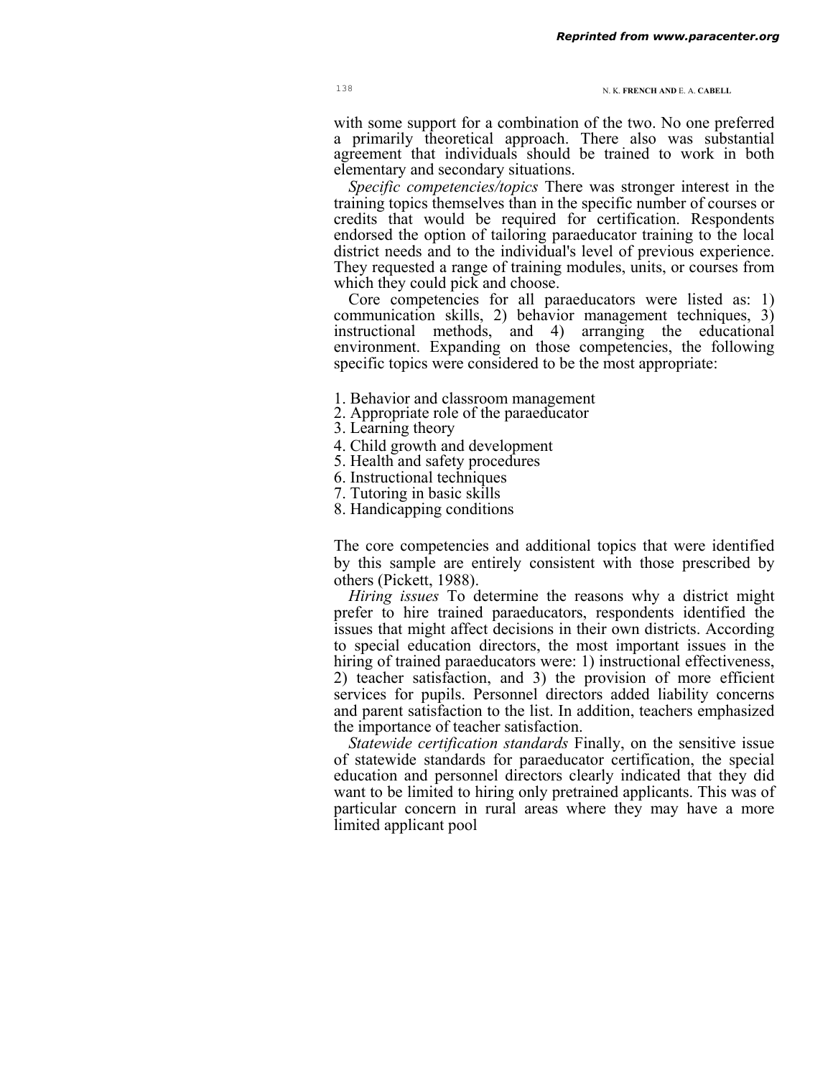with some support for a combination of the two. No one preferred a primarily theoretical approach. There also was substantial agreement that individuals should be trained to work in both elementary and secondary situations.

*Specific competencies/topics* There was stronger interest in the training topics themselves than in the specific number of courses or credits that would be required for certification. Respondents endorsed the option of tailoring paraeducator training to the local district needs and to the individual's level of previous experience. They requested a range of training modules, units, or courses from which they could pick and choose.

Core competencies for all paraeducators were listed as: 1) communication skills, 2) behavior management techniques, 3) instructional methods, and 4) arranging the educational environment. Expanding on those competencies, the following specific topics were considered to be the most appropriate:

- 1. Behavior and classroom management
- 2. Appropriate role of the paraeducator
- 3. Learning theory
- 4. Child growth and development
- 5. Health and safety procedures
- 6. Instructional techniques
- 7. Tutoring in basic skills
- 8. Handicapping conditions

The core competencies and additional topics that were identified by this sample are entirely consistent with those prescribed by others (Pickett, 1988).

*Hiring issues* To determine the reasons why a district might prefer to hire trained paraeducators, respondents identified the issues that might affect decisions in their own districts. According to special education directors, the most important issues in the hiring of trained paraeducators were: 1) instructional effectiveness, 2) teacher satisfaction, and 3) the provision of more efficient services for pupils. Personnel directors added liability concerns and parent satisfaction to the list. In addition, teachers emphasized the importance of teacher satisfaction.

*Statewide certification standards* Finally, on the sensitive issue of statewide standards for paraeducator certification, the special education and personnel directors clearly indicated that they did want to be limited to hiring only pretrained applicants. This was of particular concern in rural areas where they may have a more limited applicant pool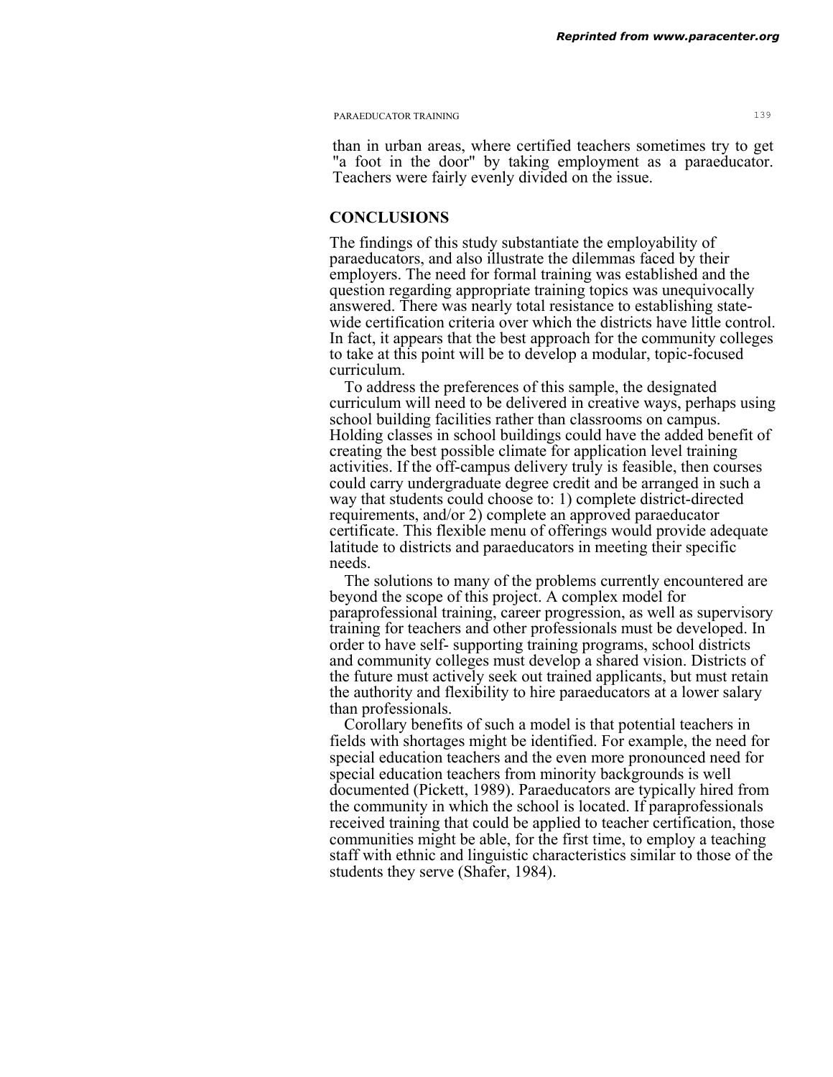than in urban areas, where certified teachers sometimes try to get "a foot in the door" by taking employment as a paraeducator. Teachers were fairly evenly divided on the issue.

# **CONCLUSIONS**

The findings of this study substantiate the employability of paraeducators, and also illustrate the dilemmas faced by their employers. The need for formal training was established and the question regarding appropriate training topics was unequivocally answered. There was nearly total resistance to establishing statewide certification criteria over which the districts have little control. In fact, it appears that the best approach for the community colleges to take at this point will be to develop a modular, topic-focused curriculum.

To address the preferences of this sample, the designated curriculum will need to be delivered in creative ways, perhaps using school building facilities rather than classrooms on campus. Holding classes in school buildings could have the added benefit of creating the best possible climate for application level training activities. If the off-campus delivery truly is feasible, then courses could carry undergraduate degree credit and be arranged in such a way that students could choose to: 1) complete district-directed requirements, and/or 2) complete an approved paraeducator certificate. This flexible menu of offerings would provide adequate latitude to districts and paraeducators in meeting their specific needs.

The solutions to many of the problems currently encountered are beyond the scope of this project. A complex model for paraprofessional training, career progression, as well as supervisory training for teachers and other professionals must be developed. In order to have self- supporting training programs, school districts and community colleges must develop a shared vision. Districts of the future must actively seek out trained applicants, but must retain the authority and flexibility to hire paraeducators at a lower salary than professionals.

Corollary benefits of such a model is that potential teachers in fields with shortages might be identified. For example, the need for special education teachers and the even more pronounced need for special education teachers from minority backgrounds is well documented (Pickett, 1989). Paraeducators are typically hired from the community in which the school is located. If paraprofessionals received training that could be applied to teacher certification, those communities might be able, for the first time, to employ a teaching staff with ethnic and linguistic characteristics similar to those of the students they serve (Shafer, 1984).